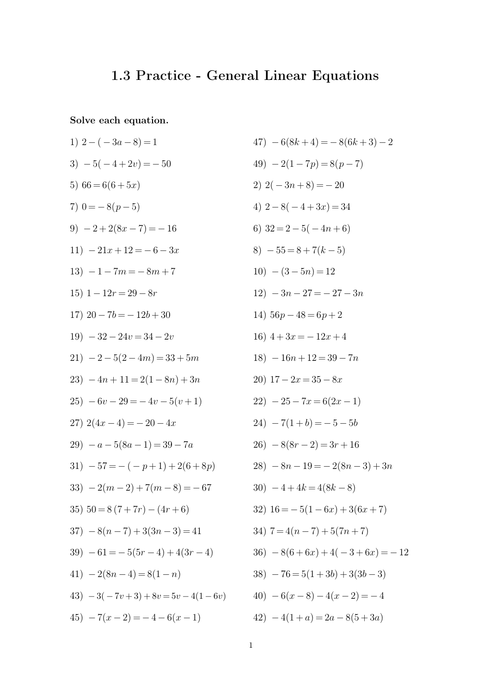## **1.3 Practice - General Linear Equations**

**Solve each equation.**

1) 
$$
2 - (-3a - 8) = 1
$$
  
\n3)  $-5(-4 + 2v) = -50$   
\n5)  $66 = 6(6 + 5x)$   
\n7)  $0 = -8(p - 5)$   
\n9)  $-2 + 2(8x - 7) = -16$   
\n11)  $-21x + 12 = -6 - 3x$   
\n13)  $-1 - 7m = -8m + 7$   
\n15)  $1 - 12r = 29 - 8r$   
\n17)  $20 - 7b = -12b + 30$   
\n19)  $-32 - 24v = 34 - 2v$   
\n21)  $-2 - 5(2 - 4m) = 33 + 5m$   
\n23)  $-4n + 11 = 2(1 - 8n) + 3n$   
\n25)  $-6v - 29 = -4v - 5(v + 1)$   
\n27)  $2(4x - 4) = -20 - 4x$   
\n29)  $-a - 5(8a - 1) = 39 - 7a$   
\n31)  $-57 = -(-p + 1) + 2(6 + 8p)$   
\n33)  $-2(m - 2) + 7(m - 8) = -67$   
\n35)  $50 = 8(7 + 7r) - (4r + 6)$   
\n37)  $-8(n - 7) + 3(3n - 3) = 41$   
\n39)  $-61 = -5(5r - 4) + 4(3r - 4)$   
\n41)  $-2(8n - 4) = 8(1 - n)$   
\n43)  $-3(-7v + 3) + 8v = 5v - 4(1 - 6v)$   
\n45)  $-7(x - 2) = -4 - 6(x - 1)$ 

$$
47) - 6(8k + 4) = -8(6k + 3) - 2
$$
  
\n
$$
49) - 2(1 - 7p) = 8(p - 7)
$$
  
\n
$$
2) 2(-3n + 8) = -20
$$
  
\n
$$
4) 2 - 8(-4 + 3x) = 34
$$
  
\n
$$
6) 32 = 2 - 5(-4n + 6)
$$
  
\n
$$
8) - 55 = 8 + 7(k - 5)
$$
  
\n
$$
10) - (3 - 5n) = 12
$$
  
\n
$$
12) - 3n - 27 = -27 - 3n
$$
  
\n
$$
14) 56p - 48 = 6p + 2
$$
  
\n
$$
16) 4 + 3x = -12x + 4
$$
  
\n
$$
18) - 16n + 12 = 39 - 7n
$$
  
\n
$$
20) 17 - 2x = 35 - 8x
$$
  
\n
$$
22) - 25 - 7x = 6(2x - 1)
$$
  
\n
$$
24) - 7(1 + b) = -5 - 5b
$$
  
\n
$$
26) - 8(8r - 2) = 3r + 16
$$
  
\n
$$
28) - 8n - 19 = -2(8n - 3) + 3n
$$
  
\n
$$
30) - 4 + 4k = 4(8k - 8)
$$
  
\n
$$
32) 16 = -5(1 - 6x) + 3(6x + 7)
$$
  
\n
$$
34) 7 = 4(n - 7) + 5(7n + 7)
$$
  
\n
$$
36) - 8(6 + 6x) + 4(-3 + 6x) = -12
$$
  
\n
$$
38) - 76 = 5(1 + 3b) + 3(3b - 3)
$$
  
\n
$$
40) - 6(x - 8) - 4(x - 2) = -4
$$
  
\n
$$
42) - 4(1 + a) = 2a - 8(5 + 3a)
$$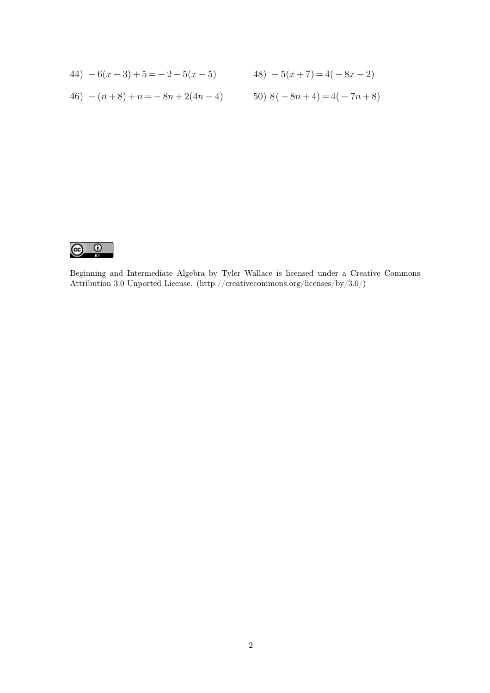44) 
$$
-6(x-3)+5=-2-5(x-5)
$$
  
\n48)  $-5(x+7)=4(-8x-2)$   
\n46)  $-(n+8)+n=-8n+2(4n-4)$   
\n50)  $8(-8n+4)=4(-7n+8)$ 



Beginning and Intermediate Algebra by Tyler Wallace is licensed under a Creative Commons Attribution 3.0 Unported License. (http://creativecommons.org/licenses/by/3.0/)